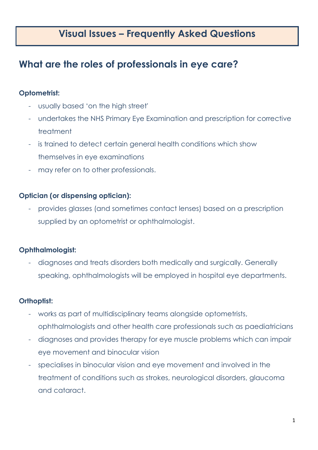## **Visual Issues – Frequently Asked Questions**

## **What are the roles of professionals in eye care?**

### **Optometrist:**

- usually based 'on the high street'
- undertakes the NHS Primary Eye Examination and prescription for corrective treatment
- is trained to detect certain general health conditions which show themselves in eye examinations
- may refer on to other professionals.

### **Optician (or dispensing optician):**

- provides glasses (and sometimes contact lenses) based on a prescription supplied by an optometrist or ophthalmologist.

### **Ophthalmologist:**

- diagnoses and treats disorders both medically and surgically. Generally speaking, ophthalmologists will be employed in hospital eye departments.

### **Orthoptist:**

- works as part of multidisciplinary teams alongside optometrists, ophthalmologists and other health care professionals such as paediatricians
- diagnoses and provides therapy for eye muscle problems which can impair eye movement and binocular vision
- specialises in binocular vision and eye movement and involved in the treatment of conditions such as strokes, neurological disorders, glaucoma and cataract.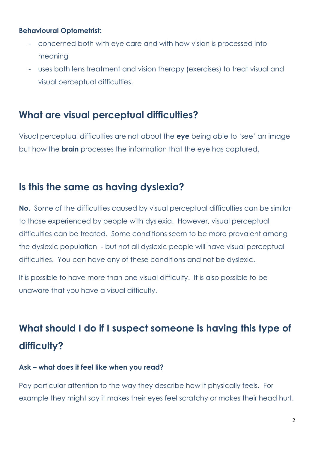### **Behavioural Optometrist:**

- concerned both with eye care and with how vision is processed into meaning
- uses both lens treatment and vision therapy (exercises) to treat visual and visual perceptual difficulties.

### **What are visual perceptual difficulties?**

Visual perceptual difficulties are not about the **eye** being able to 'see' an image but how the **brain** processes the information that the eye has captured.

## **Is this the same as having dyslexia?**

**No.** Some of the difficulties caused by visual perceptual difficulties can be similar to those experienced by people with dyslexia. However, visual perceptual difficulties can be treated. Some conditions seem to be more prevalent among the dyslexic population - but not all dyslexic people will have visual perceptual difficulties. You can have any of these conditions and not be dyslexic.

It is possible to have more than one visual difficulty. It is also possible to be unaware that you have a visual difficulty.

# **What should I do if I suspect someone is having this type of difficulty?**

### **Ask – what does it feel like when you read?**

Pay particular attention to the way they describe how it physically feels. For example they might say it makes their eyes feel scratchy or makes their head hurt.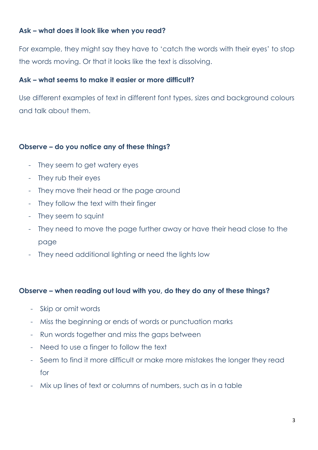### **Ask – what does it look like when you read?**

For example, they might say they have to 'catch the words with their eyes' to stop the words moving. Or that it looks like the text is dissolving.

### **Ask – what seems to make it easier or more difficult?**

Use different examples of text in different font types, sizes and background colours and talk about them.

### **Observe – do you notice any of these things?**

- They seem to get watery eyes
- They rub their eyes
- They move their head or the page around
- They follow the text with their finger
- They seem to squint
- They need to move the page further away or have their head close to the page
- They need additional lighting or need the lights low

#### **Observe – when reading out loud with you, do they do any of these things?**

- Skip or omit words
- Miss the beginning or ends of words or punctuation marks
- Run words together and miss the gaps between
- Need to use a finger to follow the text
- Seem to find it more difficult or make more mistakes the longer they read for
- Mix up lines of text or columns of numbers, such as in a table